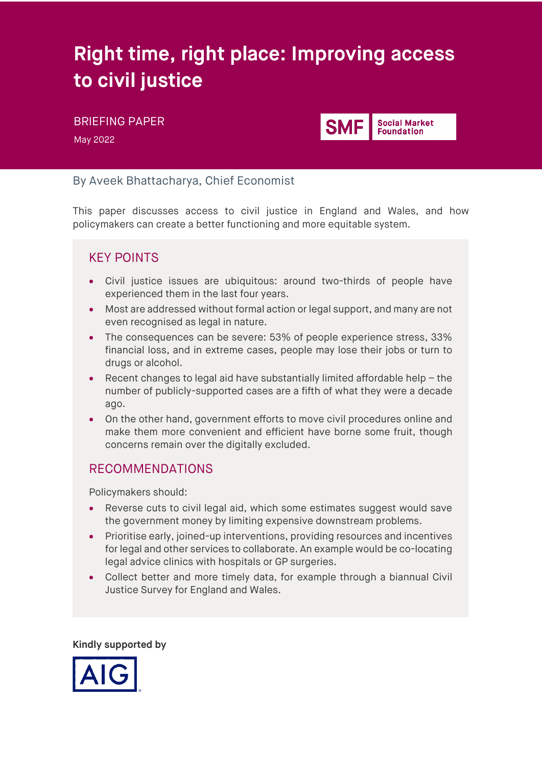# **Right time, right place: Improving access to civil justice**

# BRIEFING PAPER

May 2022



## By Aveek Bhattacharya, Chief Economist

This paper discusses access to civil justice in England and Wales, and how policymakers can create a better functioning and more equitable system.

# KEY POINTS

- Civil justice issues are ubiquitous: around two-thirds of people have experienced them in the last four years.
- Most are addressed without formal action or legal support, and many are not even recognised as legal in nature.
- The consequences can be severe: 53% of people experience stress, 33% financial loss, and in extreme cases, people may lose their jobs or turn to drugs or alcohol.
- Recent changes to legal aid have substantially limited affordable help the number of publicly-supported cases are a fifth of what they were a decade ago.
- On the other hand, government efforts to move civil procedures online and make them more convenient and efficient have borne some fruit, though concerns remain over the digitally excluded.

## RECOMMENDATIONS

Policymakers should:

- Reverse cuts to civil legal aid, which some estimates suggest would save the government money by limiting expensive downstream problems.
- Prioritise early, joined-up interventions, providing resources and incentives for legal and other services to collaborate. An example would be co-locating legal advice clinics with hospitals or GP surgeries.
- Collect better and more timely data, for example through a biannual Civil Justice Survey for England and Wales.

**Kindly supported by**

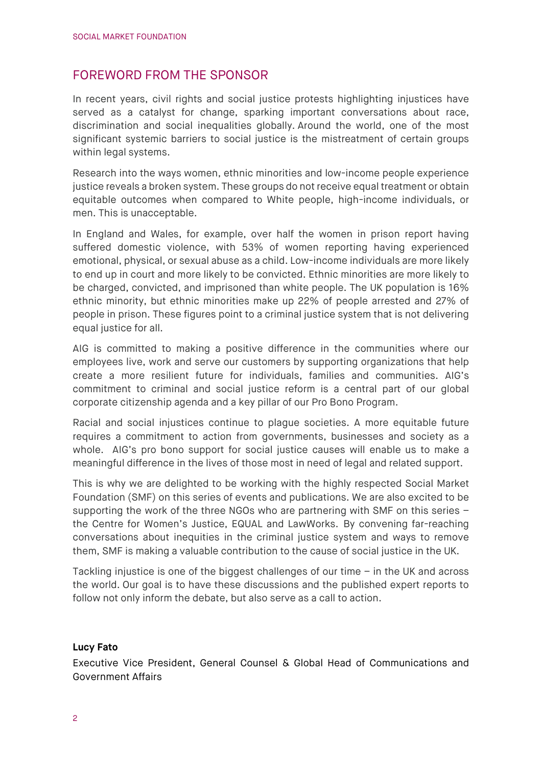## FOREWORD FROM THE SPONSOR

In recent years, civil rights and social justice protests highlighting injustices have served as a catalyst for change, sparking important conversations about race, discrimination and social inequalities globally. Around the world, one of the most significant systemic barriers to social justice is the mistreatment of certain groups within legal systems.

Research into the ways women, ethnic minorities and low-income people experience justice reveals a broken system. These groups do not receive equal treatment or obtain equitable outcomes when compared to White people, high-income individuals, or men. This is unacceptable.

In England and Wales, for example, over half the women in prison report having suffered domestic violence, with 53% of women reporting having experienced emotional, physical, or sexual abuse as a child. Low-income individuals are more likely to end up in court and more likely to be convicted. Ethnic minorities are more likely to be charged, convicted, and imprisoned than white people. The UK population is 16% ethnic minority, but ethnic minorities make up 22% of people arrested and 27% of people in prison. These figures point to a criminal justice system that is not delivering equal justice for all.

AIG is committed to making a positive difference in the communities where our employees live, work and serve our customers by supporting organizations that help create a more resilient future for individuals, families and communities. AIG's commitment to criminal and social justice reform is a central part of our global corporate citizenship agenda and a key pillar of our Pro Bono Program.

Racial and social injustices continue to plague societies. A more equitable future requires a commitment to action from governments, businesses and society as a whole. AIG's pro bono support for social justice causes will enable us to make a meaningful difference in the lives of those most in need of legal and related support.

This is why we are delighted to be working with the highly respected Social Market Foundation (SMF) on this series of events and publications. We are also excited to be supporting the work of the three NGOs who are partnering with SMF on this series – the Centre for Women's Justice, EQUAL and LawWorks. By convening far-reaching conversations about inequities in the criminal justice system and ways to remove them, SMF is making a valuable contribution to the cause of social justice in the UK.

Tackling injustice is one of the biggest challenges of our time – in the UK and across the world. Our goal is to have these discussions and the published expert reports to follow not only inform the debate, but also serve as a call to action.

#### **Lucy Fato**

Executive Vice President, General Counsel & Global Head of Communications and Government Affairs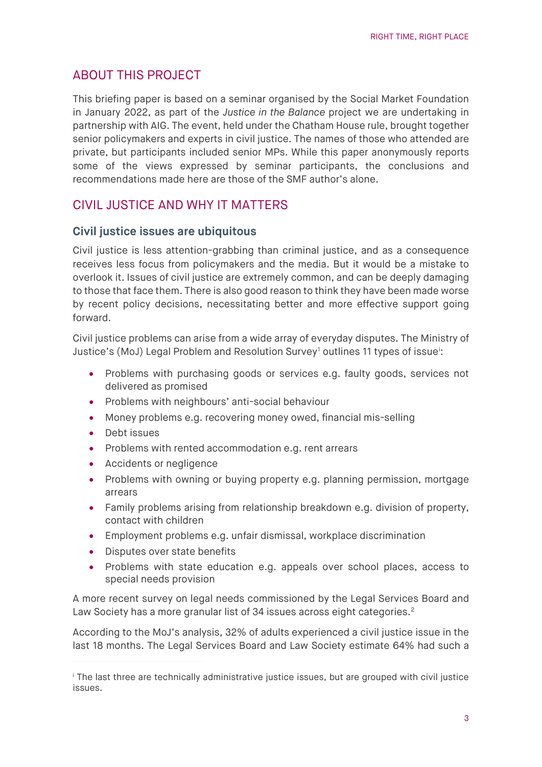# ABOUT THIS PROJECT

This briefing paper is based on a seminar organised by the Social Market Foundation in January 2022, as part of the *Justice in the Balance* project we are undertaking in partnership with AIG. The event, held under the Chatham House rule, brought together senior policymakers and experts in civil justice. The names of those who attended are private, but participants included senior MPs. While this paper anonymously reports some of the views expressed by seminar participants, the conclusions and recommendations made here are those of the SMF author's alone.

# CIVIL JUSTICE AND WHY IT MATTERS

#### **Civil justice issues are ubiquitous**

Civil justice is less attention-grabbing than criminal justice, and as a consequence receives less focus from policymakers and the media. But it would be a mistake to overlook it. Issues of civil justice are extremely common, and can be deeply damaging to those that face them. There is also good reason to think they have been made worse by recent policy decisions, necessitating better and more effective support going forward.

Civil justice problems can arise from a wide array of everyday disputes. The Ministry of Justice's (MoJ) Legal Problem and Resolution Survey<sup>[1](#page-13-0)</sup> outl[i](#page-2-0)nes 11 types of issue<sup>:</sup>:

- Problems with purchasing goods or services e.g. faulty goods, services not delivered as promised
- Problems with neighbours' anti-social behaviour
- Money problems e.g. recovering money owed, financial mis-selling
- Debt issues
- Problems with rented accommodation e.g. rent arrears
- Accidents or negligence
- Problems with owning or buying property e.g. planning permission, mortgage arrears
- Family problems arising from relationship breakdown e.g. division of property. contact with children
- Employment problems e.g. unfair dismissal, workplace discrimination
- Disputes over state benefits
- Problems with state education e.g. appeals over school places, access to special needs provision

A more recent survey on legal needs commissioned by the Legal Services Board and Law Society has a more granular list of 34 issues across eight categories.<sup>[2](#page-13-1)</sup>

According to the MoJ's analysis, 32% of adults experienced a civil justice issue in the last 18 months. The Legal Services Board and Law Society estimate 64% had such a

<span id="page-2-0"></span><sup>i</sup> The last three are technically administrative justice issues, but are grouped with civil justice issues.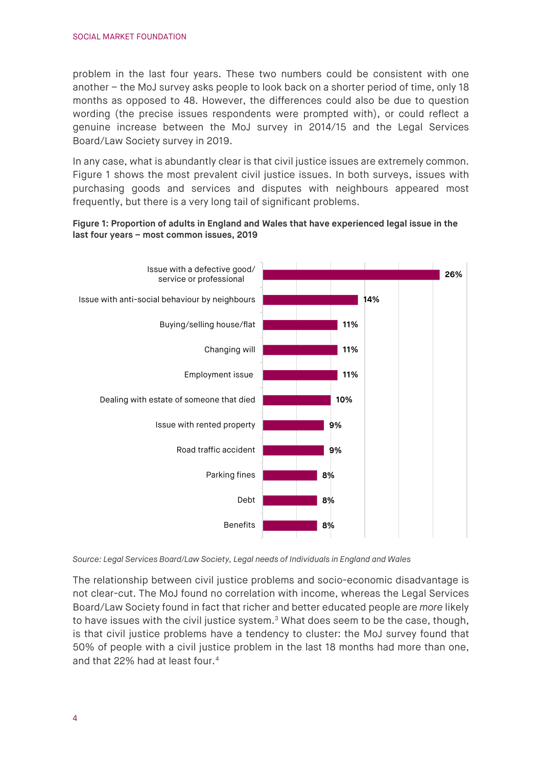problem in the last four years. These two numbers could be consistent with one another – the MoJ survey asks people to look back on a shorter period of time, only 18 months as opposed to 48. However, the differences could also be due to question wording (the precise issues respondents were prompted with), or could reflect a genuine increase between the MoJ survey in 2014/15 and the Legal Services Board/Law Society survey in 2019.

In any case, what is abundantly clear is that civil justice issues are extremely common. [Figure 1](#page-3-0) shows the most prevalent civil justice issues. In both surveys, issues with purchasing goods and services and disputes with neighbours appeared most frequently, but there is a very long tail of significant problems.

#### <span id="page-3-0"></span>**Figure 1: Proportion of adults in England and Wales that have experienced legal issue in the last four years – most common issues, 2019**



*Source: Legal Services Board/Law Society[, Legal needs of Individuals in England and Wales](https://legalservicesboard.org.uk/wp-content/uploads/2020/01/Legal-Needs-of-Individuals-Technical-Report-Final-January-2020.pdf)*

The relationship between civil justice problems and socio-economic disadvantage is not clear-cut. The MoJ found no correlation with income, whereas the Legal Services Board/Law Society found in fact that richer and better educated people are *more* likely to have issues with the civil justice system. $3$  What does seem to be the case, though, is that civil justice problems have a tendency to cluster: the MoJ survey found that 50% of people with a civil justice problem in the last 18 months had more than one, and that 22% had at least four.[4](#page-13-3)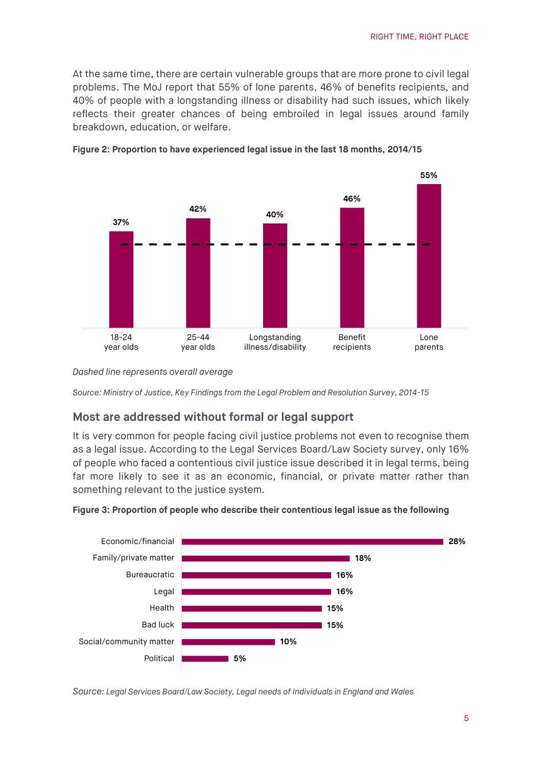At the same time, there are certain vulnerable groups that are more prone to civil legal problems. The MoJ report that 55% of lone parents, 46% of benefits recipients, and 40% of people with a longstanding illness or disability had such issues, which likely reflects their greater chances of being embroiled in legal issues around family breakdown, education, or welfare.



**Figure 2: Proportion to have experienced legal issue in the last 18 months, 2014/15**

*Dashed line represents overall average*

*Source: Ministry of Justice[, Key Findings from the Legal Problem and Resolution Survey, 2014-15](https://assets.publishing.service.gov.uk/government/uploads/system/uploads/attachment_data/file/596491/key-findings-from-legal-problem-resolution-survey-2014-to-2015.pdf)*

#### **Most are addressed without formal or legal support**

It is very common for people facing civil justice problems not even to recognise them as a legal issue. According to the Legal Services Board/Law Society survey, only 16% of people who faced a contentious civil justice issue described it in legal terms, being far more likely to see it as an economic, financial, or private matter rather than something relevant to the justice system.



**Figure 3: Proportion of people who describe their contentious legal issue as the following**

*Source: Legal Services Board/Law Society, [Legal needs of Individuals in England and Wales](https://legalservicesboard.org.uk/wp-content/uploads/2020/01/Legal-Needs-of-Individuals-Technical-Report-Final-January-2020.pdf)*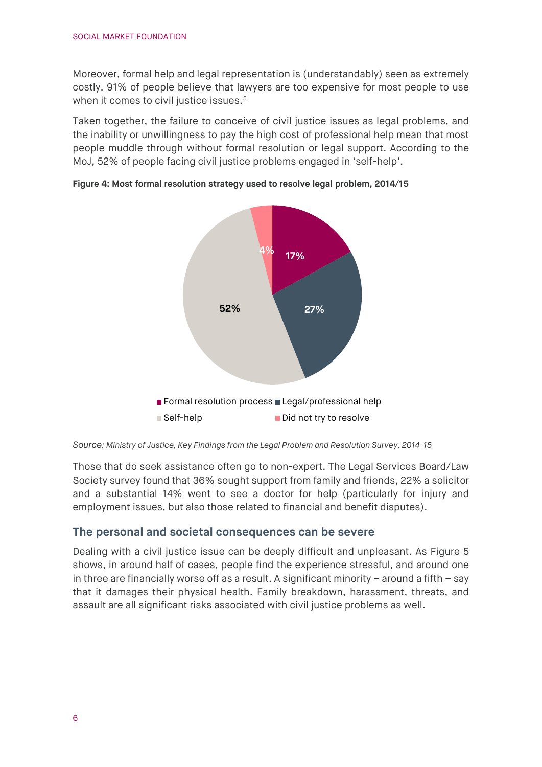Moreover, formal help and legal representation is (understandably) seen as extremely costly. 91% of people believe that lawyers are too expensive for most people to use when it comes to civil justice issues.<sup>[5](#page-13-4)</sup>

Taken together, the failure to conceive of civil justice issues as legal problems, and the inability or unwillingness to pay the high cost of professional help mean that most people muddle through without formal resolution or legal support. According to the MoJ, 52% of people facing civil justice problems engaged in 'self-help'.



**Figure 4: Most formal resolution strategy used to resolve legal problem, 2014/15** 

*Source: Ministry of Justice[, Key Findings from the Legal Problem and Resolution Survey, 2014-15](https://assets.publishing.service.gov.uk/government/uploads/system/uploads/attachment_data/file/596491/key-findings-from-legal-problem-resolution-survey-2014-to-2015.pdf)*

Those that do seek assistance often go to non-expert. The Legal Services Board/Law Society survey found that 36% sought support from family and friends, 22% a solicitor and a substantial 14% went to see a doctor for help (particularly for injury and employment issues, but also those related to financial and benefit disputes).

#### **The personal and societal consequences can be severe**

<span id="page-5-0"></span>Dealing with a civil justice issue can be deeply difficult and unpleasant. As [Figure 5](#page-5-0) shows, in around half of cases, people find the experience stressful, and around one in three are financially worse off as a result. A significant minority  $-$  around a fifth  $-$  say that it damages their physical health. Family breakdown, harassment, threats, and assault are all significant risks associated with civil justice problems as well.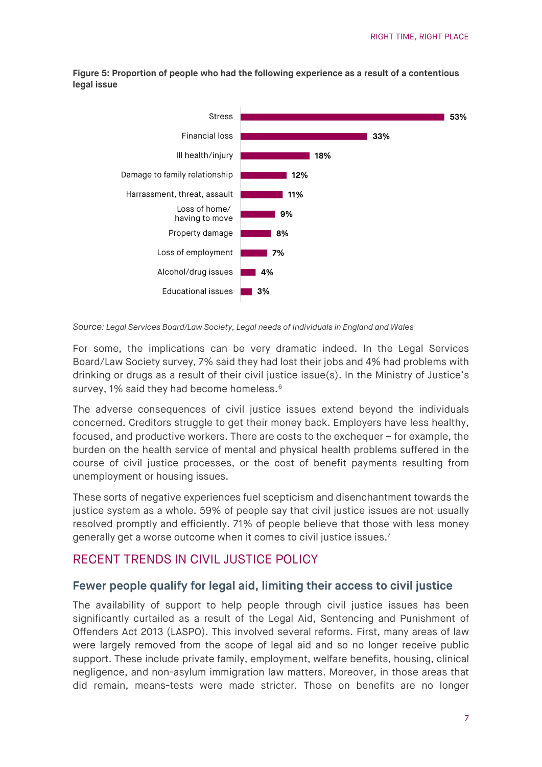**Figure 5: Proportion of people who had the following experience as a result of a contentious legal issue**



*Source: Legal Services Board/Law Society, Legal needs [of Individuals in England and Wales](https://legalservicesboard.org.uk/wp-content/uploads/2020/01/Legal-Needs-of-Individuals-Technical-Report-Final-January-2020.pdf)*

For some, the implications can be very dramatic indeed. In the Legal Services Board/Law Society survey, 7% said they had lost their jobs and 4% had problems with drinking or drugs as a result of their civil justice issue(s). In the Ministry of Justice's survey, 1% said they had become homeless.<sup>[6](#page-13-5)</sup>

The adverse consequences of civil justice issues extend beyond the individuals concerned. Creditors struggle to get their money back. Employers have less healthy, focused, and productive workers. There are costs to the exchequer – for example, the burden on the health service of mental and physical health problems suffered in the course of civil justice processes, or the cost of benefit payments resulting from unemployment or housing issues.

These sorts of negative experiences fuel scepticism and disenchantment towards the justice system as a whole. 59% of people say that civil justice issues are not usually resolved promptly and efficiently. 71% of people believe that those with less money generally get a worse outcome when it comes to civil justice issues. $^7$  $^7$ 

## RECENT TRENDS IN CIVIL JUSTICE POLICY

#### **Fewer people qualify for legal aid, limiting their access to civil justice**

The availability of support to help people through civil justice issues has been significantly curtailed as a result of the Legal Aid, Sentencing and Punishment of Offenders Act 2013 (LASPO). This involved several reforms. First, many areas of law were largely removed from the scope of legal aid and so no longer receive public support. These include private family, employment, welfare benefits, housing, clinical negligence, and non-asylum immigration law matters. Moreover, in those areas that did remain, means-tests were made stricter. Those on benefits are no longer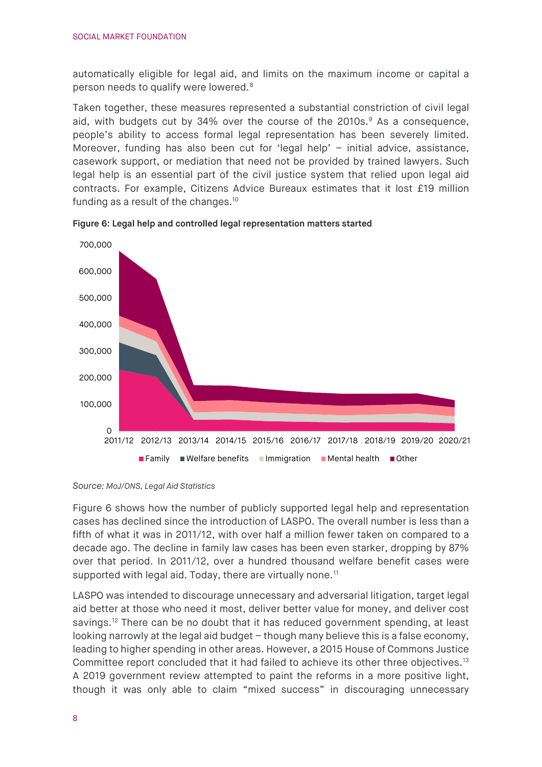automatically eligible for legal aid, and limits on the maximum income or capital a person needs to qualify were lowered. [8](#page-13-7)

Taken together, these measures represented a substantial constriction of civil legal aid, with budgets cut by 34% over the course of the 2010s. $9$  As a consequence, people's ability to access formal legal representation has been severely limited. Moreover, funding has also been cut for 'legal help' – initial advice, assistance, casework support, or mediation that need not be provided by trained lawyers. Such legal help is an essential part of the civil justice system that relied upon legal aid contracts. For example, Citizens Advice Bureaux estimates that it lost £19 million funding as a result of the changes. $10$ 



<span id="page-7-0"></span>**Figure 6: Legal help and controlled legal representation matters started** 

[Figure](#page-7-0) 6 shows how the number of publicly supported legal help and representation cases has declined since the introduction of LASPO. The overall number is less than a fifth of what it was in 2011/12, with over half a million fewer taken on compared to a decade ago. The decline in family law cases has been even starker, dropping by 87% over that period. In 2011/12, over a hundred thousand welfare benefit cases were supported with legal aid. Today, there are virtually none.<sup>[11](#page-13-10)</sup>

LASPO was intended to discourage unnecessary and adversarial litigation, target legal aid better at those who need it most, deliver better value for money, and deliver cost savings.<sup>[12](#page-13-11)</sup> There can be no doubt that it has reduced government spending, at least looking narrowly at the legal aid budget – though many believe this is a false economy, leading to higher spending in other areas. However, a 2015 House of Commons Justice Committee report concluded that it had failed to achieve its other three objectives.<sup>[13](#page-13-12)</sup> A 2019 government review attempted to paint the reforms in a more positive light, though it was only able to claim "mixed success" in discouraging unnecessary

*Source: MoJ/ONS[, Legal Aid Statistics](https://legalaidtools.apps.alpha.mojanalytics.xyz/)*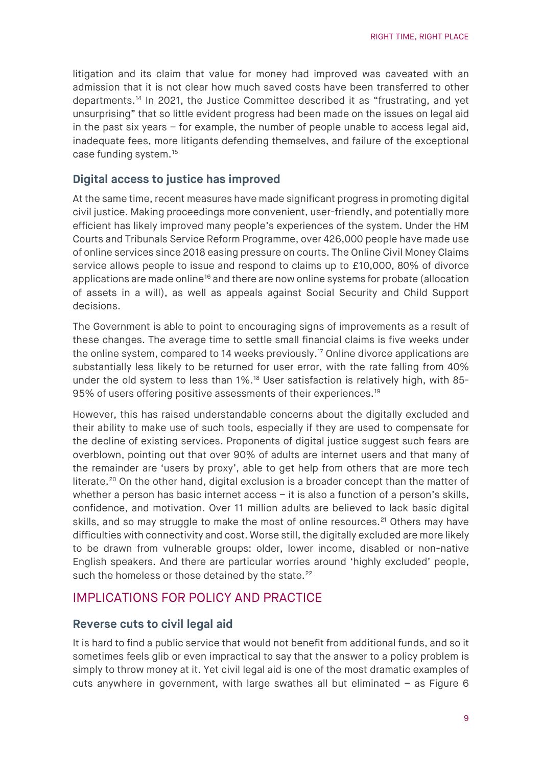litigation and its claim that value for money had improved was caveated with an admission that it is not clear how much saved costs have been transferred to other departments.[14](#page-13-13) In 2021, the Justice Committee described it as "frustrating, and yet unsurprising" that so little evident progress had been made on the issues on legal aid in the past six years – for example, the number of people unable to access legal aid, inadequate fees, more litigants defending themselves, and failure of the exceptional case funding system.[15](#page-13-14) 

#### **Digital access to justice has improved**

At the same time, recent measures have made significant progress in promoting digital civil justice. Making proceedings more convenient, user-friendly, and potentially more efficient has likely improved many people's experiences of the system. Under the HM Courts and Tribunals Service Reform Programme, over 426,000 people have made use of online services since 2018 easing pressure on courts. The Online Civil Money Claims service allows people to issue and respond to claims up to £10,000, 80% of divorce applications are made online<sup>[16](#page-13-15)</sup> and there are now online systems for probate (allocation of assets in a will), as well as appeals against Social Security and Child Support decisions.

The Government is able to point to encouraging signs of improvements as a result of these changes. The average time to settle small financial claims is five weeks under the online system, compared to 14 weeks previously.<sup>[17](#page-13-16)</sup> Online divorce applications are substantially less likely to be returned for user error, with the rate falling from 40% under the old system to less than 1%.<sup>[18](#page-13-17)</sup> User satisfaction is relatively high, with 85-95% of users offering positive assessments of their experiences.<sup>[19](#page-13-18)</sup>

However, this has raised understandable concerns about the digitally excluded and their ability to make use of such tools, especially if they are used to compensate for the decline of existing services. Proponents of digital justice suggest such fears are overblown, pointing out that over 90% of adults are internet users and that many of the remainder are 'users by proxy', able to get help from others that are more tech literate.<sup>[20](#page-13-19)</sup> On the other hand, digital exclusion is a broader concept than the matter of whether a person has basic internet access – it is also a function of a person's skills, confidence, and motivation. Over 11 million adults are believed to lack basic digital skills, and so may struggle to make the most of online resources.<sup>[21](#page-13-20)</sup> Others may have difficulties with connectivity and cost. Worse still, the digitally excluded are more likely to be drawn from vulnerable groups: older, lower income, disabled or non-native English speakers. And there are particular worries around 'highly excluded' people, such the homeless or those detained by the state.<sup>[22](#page-13-21)</sup>

## IMPLICATIONS FOR POLICY AND PRACTICE

#### **Reverse cuts to civil legal aid**

It is hard to find a public service that would not benefit from additional funds, and so it sometimes feels glib or even impractical to say that the answer to a policy problem is simply to throw money at it. Yet civil legal aid is one of the most dramatic examples of cuts anywhere in government, with large swathes all but eliminated – as [Figure 6](#page-7-0)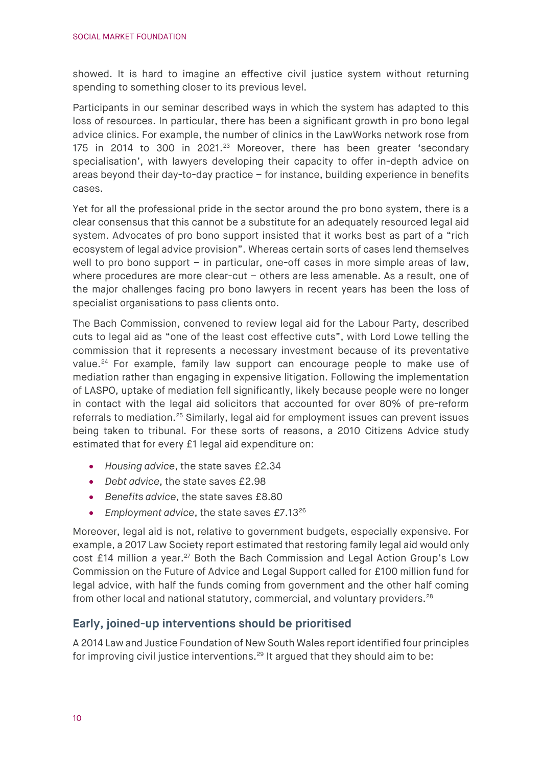showed. It is hard to imagine an effective civil justice system without returning spending to something closer to its previous level.

Participants in our seminar described ways in which the system has adapted to this loss of resources. In particular, there has been a significant growth in pro bono legal advice clinics. For example, the number of clinics in the LawWorks network rose from 175 in 2014 to 300 in 2021.<sup>[23](#page-13-22)</sup> Moreover, there has been greater 'secondary specialisation', with lawyers developing their capacity to offer in-depth advice on areas beyond their day-to-day practice – for instance, building experience in benefits cases.

Yet for all the professional pride in the sector around the pro bono system, there is a clear consensus that this cannot be a substitute for an adequately resourced legal aid system. Advocates of pro bono support insisted that it works best as part of a "rich ecosystem of legal advice provision". Whereas certain sorts of cases lend themselves well to pro bono support – in particular, one-off cases in more simple areas of law, where procedures are more clear-cut – others are less amenable. As a result, one of the major challenges facing pro bono lawyers in recent years has been the loss of specialist organisations to pass clients onto.

The Bach Commission, convened to review legal aid for the Labour Party, described cuts to legal aid as "one of the least cost effective cuts", with Lord Lowe telling the commission that it represents a necessary investment because of its preventative value.<sup>[24](#page-13-23)</sup> For example, family law support can encourage people to make use of mediation rather than engaging in expensive litigation. Following the implementation of LASPO, uptake of mediation fell significantly, likely because people were no longer in contact with the legal aid solicitors that accounted for over 80% of pre-reform referrals to mediation.<sup>[25](#page-13-24)</sup> Similarly, legal aid for employment issues can prevent issues being taken to tribunal. For these sorts of reasons, a 2010 Citizens Advice study estimated that for every £1 legal aid expenditure on:

- *Housing advice*, the state saves £2.34
- *Debt advice*, the state saves £2.98
- *Benefits advice*, the state saves £8.80
- *Employment advice*, the state saves £7.1[326](#page-13-25)

Moreover, legal aid is not, relative to government budgets, especially expensive. For example, a 2017 Law Society report estimated that restoring family legal aid would only cost £14 million a year.<sup>[27](#page-14-0)</sup> Both the Bach Commission and Legal Action Group's Low Commission on the Future of Advice and Legal Support called for £100 million fund for legal advice, with half the funds coming from government and the other half coming from other local and national statutory, commercial, and voluntary providers.<sup>[28](#page-14-1)</sup>

#### **Early, joined-up interventions should be prioritised**

A 2014 Law and Justice Foundation of New South Wales report identified four principles for improving civil justice interventions.<sup>[29](#page-14-2)</sup> It argued that they should aim to be: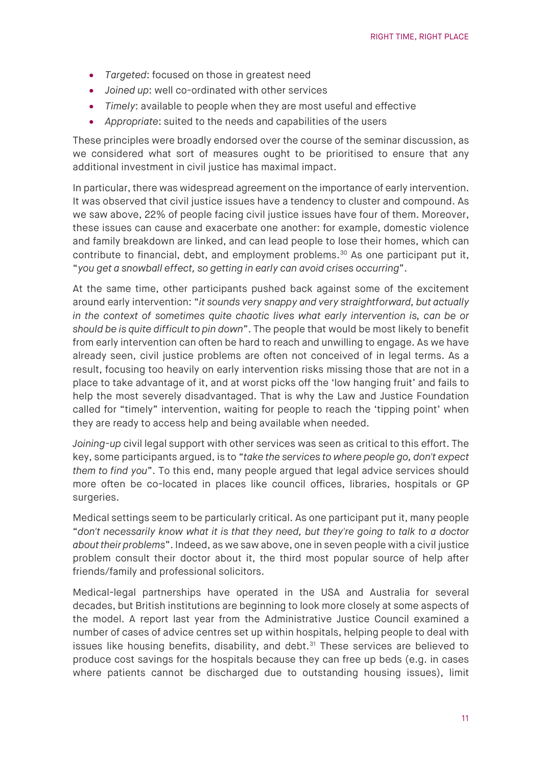- *Targeted*: focused on those in greatest need
- *Joined up*: well co-ordinated with other services
- *Timely*: available to people when they are most useful and effective
- *Appropriate*: suited to the needs and capabilities of the users

These principles were broadly endorsed over the course of the seminar discussion, as we considered what sort of measures ought to be prioritised to ensure that any additional investment in civil justice has maximal impact.

In particular, there was widespread agreement on the importance of early intervention. It was observed that civil justice issues have a tendency to cluster and compound. As we saw above, 22% of people facing civil justice issues have four of them. Moreover, these issues can cause and exacerbate one another: for example, domestic violence and family breakdown are linked, and can lead people to lose their homes, which can contribute to financial, debt, and employment problems.<sup>[30](#page-14-3)</sup> As one participant put it, "*you get a snowball effect, so getting in early can avoid crises occurring*".

At the same time, other participants pushed back against some of the excitement around early intervention: "*it sounds very snappy and very straightforward, but actually in the context of sometimes quite chaotic lives what early intervention is, can be or should be is quite difficult to pin down*". The people that would be most likely to benefit from early intervention can often be hard to reach and unwilling to engage. As we have already seen, civil justice problems are often not conceived of in legal terms. As a result, focusing too heavily on early intervention risks missing those that are not in a place to take advantage of it, and at worst picks off the 'low hanging fruit' and fails to help the most severely disadvantaged. That is why the Law and Justice Foundation called for "timely" intervention, waiting for people to reach the 'tipping point' when they are ready to access help and being available when needed.

*Joining-up* civil legal support with other services was seen as critical to this effort. The key, some participants argued, is to "*take the services to where people go, don't expect them to find you*". To this end, many people argued that legal advice services should more often be co-located in places like council offices, libraries, hospitals or GP surgeries.

Medical settings seem to be particularly critical. As one participant put it, many people "*don't necessarily know what it is that they need, but they're going to talk to a doctor about their problems*". Indeed, as we saw above, one in seven people with a civil justice problem consult their doctor about it, the third most popular source of help after friends/family and professional solicitors.

Medical-legal partnerships have operated in the USA and Australia for several decades, but British institutions are beginning to look more closely at some aspects of the model. A report last year from the Administrative Justice Council examined a number of cases of advice centres set up within hospitals, helping people to deal with issues like housing benefits, disability, and debt. $31$  These services are believed to produce cost savings for the hospitals because they can free up beds (e.g. in cases where patients cannot be discharged due to outstanding housing issues), limit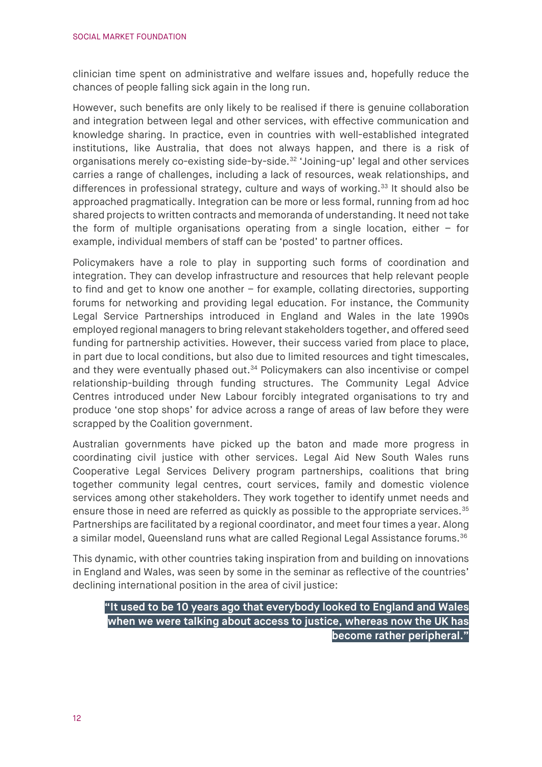clinician time spent on administrative and welfare issues and, hopefully reduce the chances of people falling sick again in the long run.

However, such benefits are only likely to be realised if there is genuine collaboration and integration between legal and other services, with effective communication and knowledge sharing. In practice, even in countries with well-established integrated institutions, like Australia, that does not always happen, and there is a risk of organisations merely co-existing side-by-side[.32](#page-14-5) 'Joining-up' legal and other services carries a range of challenges, including a lack of resources, weak relationships, and differences in professional strategy, culture and ways of working. [33](#page-14-6) It should also be approached pragmatically. Integration can be more or less formal, running from ad hoc shared projects to written contracts and memoranda of understanding. It need not take the form of multiple organisations operating from a single location, either  $-$  for example, individual members of staff can be 'posted' to partner offices.

Policymakers have a role to play in supporting such forms of coordination and integration. They can develop infrastructure and resources that help relevant people to find and get to know one another – for example, collating directories, supporting forums for networking and providing legal education. For instance, the Community Legal Service Partnerships introduced in England and Wales in the late 1990s employed regional managers to bring relevant stakeholders together, and offered seed funding for partnership activities. However, their success varied from place to place, in part due to local conditions, but also due to limited resources and tight timescales, and they were eventually phased out. [34](#page-14-7) Policymakers can also incentivise or compel relationship-building through funding structures. The Community Legal Advice Centres introduced under New Labour forcibly integrated organisations to try and produce 'one stop shops' for advice across a range of areas of law before they were scrapped by the Coalition government.

Australian governments have picked up the baton and made more progress in coordinating civil justice with other services. Legal Aid New South Wales runs Cooperative Legal Services Delivery program partnerships, coalitions that bring together community legal centres, court services, family and domestic violence services among other stakeholders. They work together to identify unmet needs and ensure those in need are referred as quickly as possible to the appropriate services.<sup>[35](#page-14-8)</sup> Partnerships are facilitated by a regional coordinator, and meet four times a year. Along a similar model, Queensland runs what are called Regional Legal Assistance forums.<sup>36</sup>

This dynamic, with other countries taking inspiration from and building on innovations in England and Wales, was seen by some in the seminar as reflective of the countries' declining international position in the area of civil justice:

#### **"It used to be 10 years ago that everybody looked to England and Wales when we were talking about access to justice, whereas now the UK has become rather peripheral."**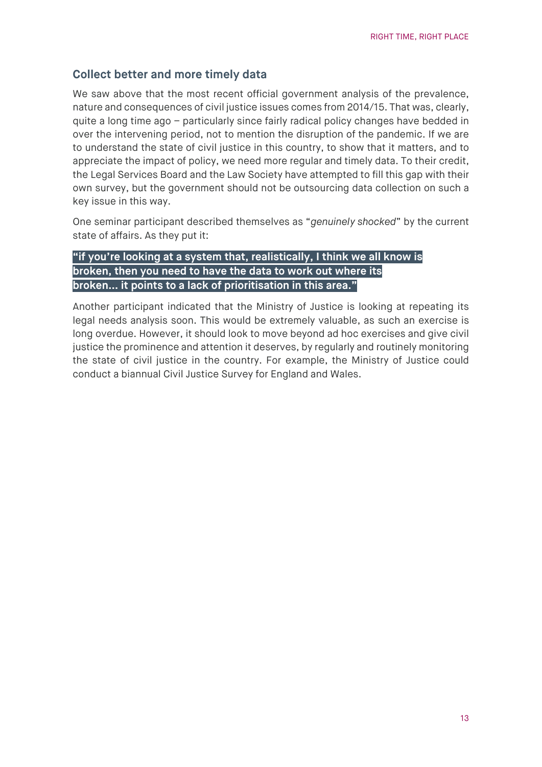## **Collect better and more timely data**

We saw above that the most recent official government analysis of the prevalence, nature and consequences of civil justice issues comes from 2014/15. That was, clearly, quite a long time ago – particularly since fairly radical policy changes have bedded in over the intervening period, not to mention the disruption of the pandemic. If we are to understand the state of civil justice in this country, to show that it matters, and to appreciate the impact of policy, we need more regular and timely data. To their credit, the Legal Services Board and the Law Society have attempted to fill this gap with their own survey, but the government should not be outsourcing data collection on such a key issue in this way.

One seminar participant described themselves as "*genuinely shocked*" by the current state of affairs. As they put it:

## **"if you're looking at a system that, realistically, I think we all know is broken, then you need to have the data to work out where its broken… it points to a lack of prioritisation in this area."**

Another participant indicated that the Ministry of Justice is looking at repeating its legal needs analysis soon. This would be extremely valuable, as such an exercise is long overdue. However, it should look to move beyond ad hoc exercises and give civil justice the prominence and attention it deserves, by regularly and routinely monitoring the state of civil justice in the country. For example, the Ministry of Justice could conduct a biannual Civil Justice Survey for England and Wales.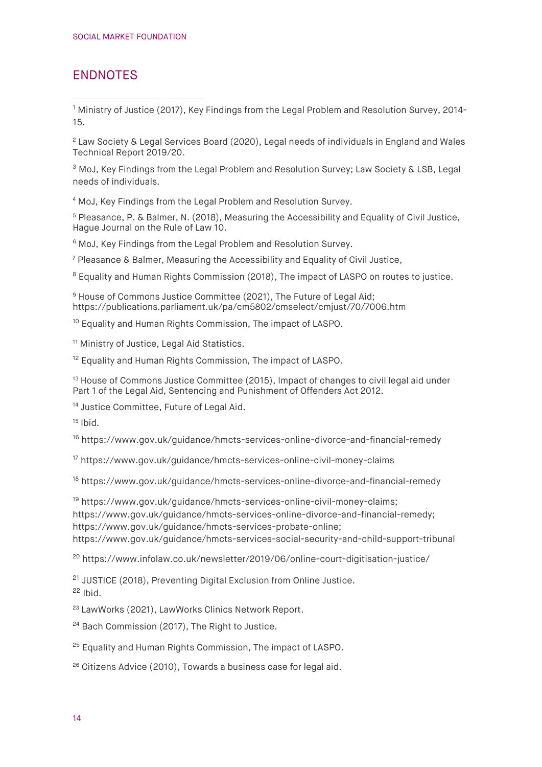# ENDNOTES

<span id="page-13-0"></span><sup>1</sup> Ministry of Justice (2017), [Key Findings from the Legal Problem and Resolution Survey, 2014-](https://assets.publishing.service.gov.uk/government/uploads/system/uploads/attachment_data/file/596491/key-findings-from-legal-problem-resolution-survey-2014-to-2015.pdf) [15.](https://assets.publishing.service.gov.uk/government/uploads/system/uploads/attachment_data/file/596491/key-findings-from-legal-problem-resolution-survey-2014-to-2015.pdf)

<span id="page-13-1"></span><sup>2</sup> Law Society & Legal Services Board (2020), [Legal needs of individuals in England and Wales](https://legalservicesboard.org.uk/wp-content/uploads/2020/01/Legal-Needs-of-Individuals-Technical-Report-Final-January-2020.pdf)  [Technical Report 2019/20.](https://legalservicesboard.org.uk/wp-content/uploads/2020/01/Legal-Needs-of-Individuals-Technical-Report-Final-January-2020.pdf)

<span id="page-13-2"></span><sup>3</sup> MoJ, [Key Findings from the Legal Problem and Resolution Survey;](https://assets.publishing.service.gov.uk/government/uploads/system/uploads/attachment_data/file/596491/key-findings-from-legal-problem-resolution-survey-2014-to-2015.pdf) Law Society & LSB, Legal [needs of individuals.](https://legalservicesboard.org.uk/wp-content/uploads/2020/01/Legal-Needs-of-Individuals-Technical-Report-Final-January-2020.pdf)

<span id="page-13-3"></span><sup>4</sup> MoJ, [Key Findings from the Legal Problem and Resolution Survey.](https://assets.publishing.service.gov.uk/government/uploads/system/uploads/attachment_data/file/596491/key-findings-from-legal-problem-resolution-survey-2014-to-2015.pdf)

<span id="page-13-4"></span><sup>5</sup> Pleasance, P. & Balmer, N. (2018)[, Measuring the Accessibility and Equality of Civil Justice,](https://link.springer.com/article/10.1007/s40803-018-0079-0/tables/1) Hague Journal on the Rule of Law 10.

<span id="page-13-5"></span><sup>6</sup> MoJ, [Key Findings from the Legal Problem and Resolution Survey.](https://assets.publishing.service.gov.uk/government/uploads/system/uploads/attachment_data/file/596491/key-findings-from-legal-problem-resolution-survey-2014-to-2015.pdf)

<span id="page-13-6"></span><sup>7</sup> Pleasance & Balmer, [Measuring the Accessibility and Equality of Civil Justice,](https://link.springer.com/article/10.1007/s40803-018-0079-0/tables/1)

<span id="page-13-7"></span><sup>8</sup> Equality and Human Rights Commission (2018). [The impact of LASPO on routes to justice.](https://www.equalityhumanrights.com/sites/default/files/the-impact-of-laspo-on-routes-to-justice-september-2018.pdf)

<span id="page-13-8"></span><sup>9</sup> House of Commons Justice Committee (2021). The Future of Legal Aid: <https://publications.parliament.uk/pa/cm5802/cmselect/cmjust/70/7006.htm>

<span id="page-13-9"></span><sup>10</sup> Equality and Human Rights Commission, [The impact of LASPO.](https://www.equalityhumanrights.com/sites/default/files/the-impact-of-laspo-on-routes-to-justice-september-2018.pdf)

<span id="page-13-10"></span><sup>11</sup> Ministry of Justice[, Legal Aid Statistics.](https://legalaidtools.apps.alpha.mojanalytics.xyz/)

<span id="page-13-11"></span><sup>12</sup> Equality and Human Rights Commission, [The impact of LASPO.](https://www.equalityhumanrights.com/sites/default/files/the-impact-of-laspo-on-routes-to-justice-september-2018.pdf)

<span id="page-13-12"></span><sup>13</sup> House of Commons Justice Committee (2015), Impact of changes to civil legal aid under [Part 1 of the Legal Aid, Sentencing and Punishment of Offenders Act 2012.](https://publications.parliament.uk/pa/cm201415/cmselect/cmjust/311/31103.htm)

<span id="page-13-13"></span><sup>14</sup> Justice Committee, [Future of Legal Aid.](https://publications.parliament.uk/pa/cm5802/cmselect/cmjust/70/7006.htm)

<span id="page-13-14"></span> $15$  [Ibid.](https://publications.parliament.uk/pa/cm5802/cmselect/cmjust/70/7006.htm)

<span id="page-13-15"></span><sup>16</sup> <https://www.gov.uk/guidance/hmcts-services-online-divorce-and-financial-remedy>

<span id="page-13-16"></span><sup>17</sup> <https://www.gov.uk/guidance/hmcts-services-online-civil-money-claims>

<span id="page-13-17"></span><sup>18</sup> <https://www.gov.uk/guidance/hmcts-services-online-divorce-and-financial-remedy>

<span id="page-13-18"></span><sup>19</sup> [https://www.gov.uk/guidance/hmcts-services-online-civil-money-claims;](https://www.gov.uk/guidance/hmcts-services-online-civil-money-claims) [https://www.gov.uk/guidance/hmcts-services-online-divorce-and-financial-remedy;](https://www.gov.uk/guidance/hmcts-services-online-divorce-and-financial-remedy) [https://www.gov.uk/guidance/hmcts-services-probate-online;](https://www.gov.uk/guidance/hmcts-services-probate-online)

<https://www.gov.uk/guidance/hmcts-services-social-security-and-child-support-tribunal>

<span id="page-13-19"></span><sup>20</sup> <https://www.infolaw.co.uk/newsletter/2019/06/online-court-digitisation-justice/>

<span id="page-13-21"></span><span id="page-13-20"></span><sup>21</sup> JUSTICE (2018), [Preventing Digital Exclusion from Online Justice.](https://files.justice.org.uk/wp-content/uploads/2018/06/06170424/Preventing-Digital-Exclusion-from-Online-Justice.pdf)  $22$  [Ibid.](https://files.justice.org.uk/wp-content/uploads/2018/06/06170424/Preventing-Digital-Exclusion-from-Online-Justice.pdf)

<span id="page-13-22"></span><sup>23</sup> LawWorks (2021), [LawWorks Clinics Network Report.](https://www.lawworks.org.uk/sites/default/files/files/LawWorks-Clinics-Report-2020-web.pdf)

<span id="page-13-23"></span><sup>24</sup> Bach Commission (2017), [The Right to Justice.](https://www.fabians.org.uk/wp-content/uploads/2017/09/Bach-Commission_Right-to-Justice-Report-WEB.pdf)

<span id="page-13-24"></span><sup>25</sup> Equality and Human Rights Commission, [The impact of LASPO.](https://www.equalityhumanrights.com/sites/default/files/the-impact-of-laspo-on-routes-to-justice-september-2018.pdf)

<span id="page-13-25"></span> $26$  Citizens Advice (2010), [Towards a business case for legal aid.](https://namati.org/wp-content/uploads/2015/12/Citizens-Advice-Bureau-Towards-a-business-case-for-legal-aid.pdf)